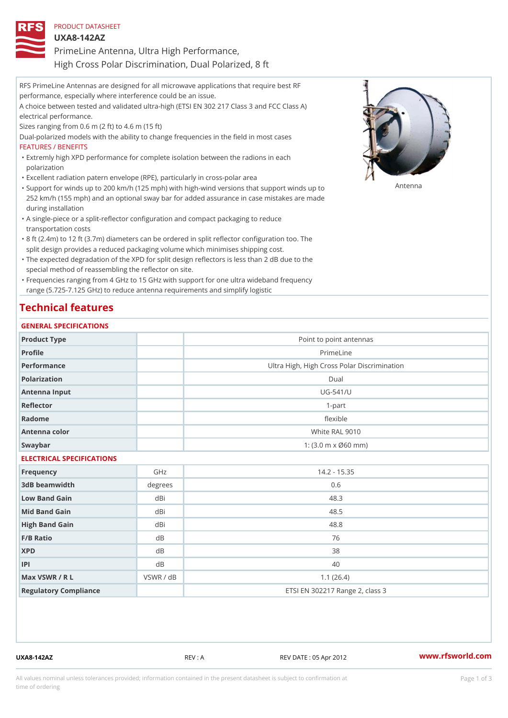| PRODUCT DATASHEET                                     |
|-------------------------------------------------------|
| U X A 8 - 1 4 2 A Z                                   |
| PrimeLine Antenna, Ultra High Performance,            |
| High Cross Polar Discrimination, Dual Polarized, 8 ft |

RFS PrimeLine Antennas are designed for all microwave applications that require best RF performance, especially where interference could be an issue. A choice between tested and validated ultra-high (ETSI EN 302 217 Class 3 and FCC Class A) electrical performance. Sizes ranging from 0.6 m (2 ft) to 4.6 m (15 ft) Dual-polarized models with the ability to change frequencies in the field in most cases FEATURES / BENEFITS Extremly high XPD performance for complete isolation between the radions in each " polarization "Excellent radiation patern envelope (RPE), particularly in cross-polar area "Support for winds up to 200 km/h (125 mph) with high-wind versions that support for wands up to 252 km/h (155 mph) and an optional sway bar for added assurance in case mistakes are made during installation

- A single-piece or a split-reflector configuration and compact packaging to reduce " transportation costs
- 8 ft (2.4m) to 12 ft (3.7m) diameters can be ordered in split reflector configuration too. The " split design provides a reduced packaging volume which minimises shipping cost.
- "The expected degradation of the XPD for split design reflectors is less than 2 dB due to the special method of reassembling the reflector on site.

Frequencies ranging from 4 GHz to 15 GHz with support for one ultra wideband frequency " range (5.725-7.125 GHz) to reduce antenna requirements and simplify logistic

## Technical features

### GENERAL SPECIFICATIONS

| Product Type              |                | Point to point antennas                     |
|---------------------------|----------------|---------------------------------------------|
| Profile                   |                | PrimeLine                                   |
| Performance               |                | Ultra High, High Cross Polar Discrimination |
| Polarization              |                | $D$ ual                                     |
| Antenna Input             |                | $UG - 541/U$                                |
| Reflector                 |                | $1 - p$ art                                 |
| Radome                    |                | flexible                                    |
| Antenna color             |                | White RAL 9010                              |
| Swaybar                   |                | 1: $(3.0 m \times 060 mm)$                  |
| ELECTRICAL SPECIFICATIONS |                |                                             |
| Frequency                 | GHz            | $14.2 - 15.35$                              |
| 3dB beamwidth             | degrees        | 0.6                                         |
| Low Band Gain             | dBi            | 48.3                                        |
| Mid Band Gain             | dBi            | 48.5                                        |
| High Band Gain            | dBi            | 48.8                                        |
| F/B Ratio                 | d B            | 76                                          |
| <b>XPD</b>                | d B            | 38                                          |
| P                         | d <sub>B</sub> | 40                                          |
| Max VSWR / R L            | VSWR / dB      | 1.1(26.4)                                   |
| Regulatory Compliance     |                | ETSI EN 302217 Range 2, class 3             |

UXA8-142AZ REV : A REV DATE : 05 Apr 2012 [www.](https://www.rfsworld.com)rfsworld.com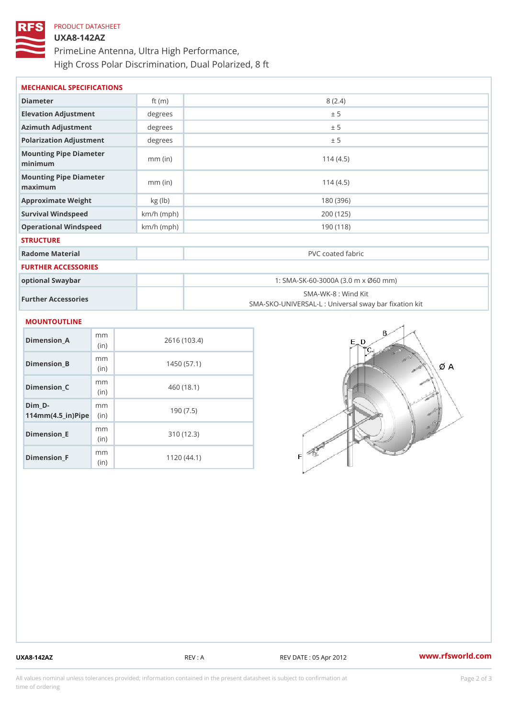# PRODUCT DATASHEET UXA8-142AZ PrimeLine Antenna, Ultra High Performance, High Cross Polar Discrimination, Dual Polarized, 8 ft

| MECHANICAL SPECIFICATIONS            |              |                                                                         |
|--------------------------------------|--------------|-------------------------------------------------------------------------|
| Diameter                             | ft $(m)$     | 8(2.4)                                                                  |
| Elevation Adjustment                 | degree:      | ± 5                                                                     |
| Azimuth Adjustment                   | degrees      | ± 5                                                                     |
| Polarization Adjustment              | degree:      | ± 5                                                                     |
| Mounting Pipe Diameter<br>minimum    | $mm$ (in)    | 114(4.5)                                                                |
| Mounting Pipe Diameter<br>maximum    | $mm$ (in)    | 114(4.5)                                                                |
| Approximate Weight                   | kg (lb)      | 180 (396)                                                               |
| Survival Windspeed                   | $km/h$ (mph) | 200 (125)                                                               |
| Operational Windspeed                | $km/h$ (mph) | 190 (118)                                                               |
| <b>STRUCTURE</b>                     |              |                                                                         |
| Radome Material                      |              | PVC coated fabric                                                       |
| FURTHER ACCESSORIES                  |              |                                                                         |
| optional Swaybar                     |              | 1: SMA-SK-60-3000A (3.0 m x Ø60 mm)                                     |
| Further Accessories                  |              | SMA-WK-8: Wind Kit<br>SMA-SKO-UNIVERSAL-L : Universal sway bar fixation |
| MOUNTOUTLINE                         |              |                                                                         |
| m <sub>m</sub><br>Dimension A<br>(in |              | 2616 (103.4)                                                            |
| m m<br>Dimension_B<br>(in)           |              | 1450(57.1)                                                              |

Dimension\_C

Dimension\_E

Dimension\_F

 $114$  m m (4.5 \_ i r )  $\sqrt{$  ii p  $\ge$ 

 $Dim_D - D -$ 

mm (in)

m m

mm (in)

m<sub>m</sub> (in)

460 (18.1)

190 (7.5)

310 (12.3)

1120 (44.1)

UXA8-142AZ REV : A REV DATE : 05 Apr 2012 [www.](https://www.rfsworld.com)rfsworld.com